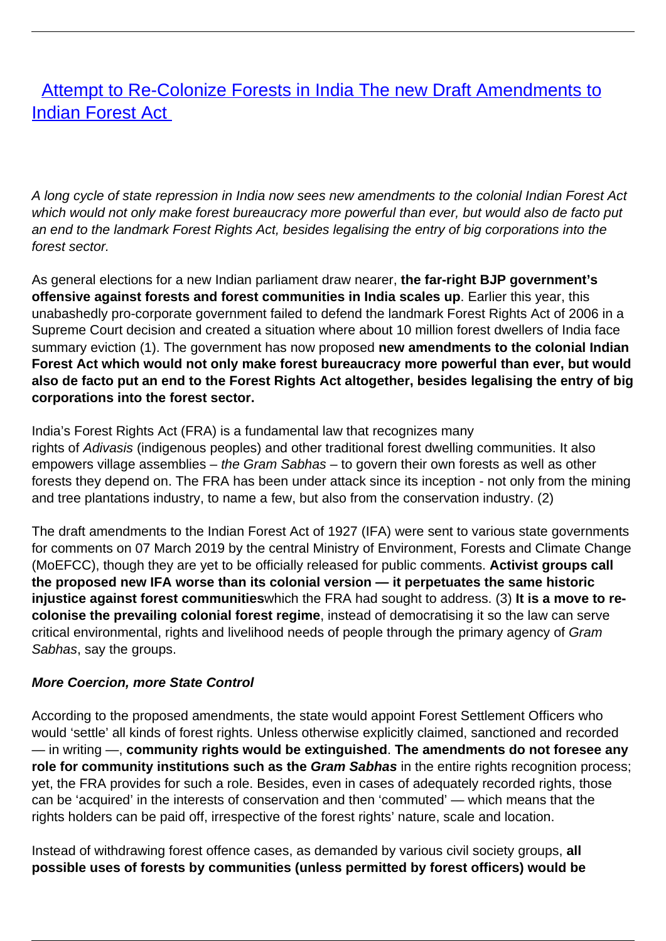# [Attempt to Re-Colonize Forests in India The new Draft Amendments to](/bulletin-articles/attempt-to-re-colonize-forests-in-india-the-new-draft-amendments-to-indian-forest-act) [Indian Forest Act](/bulletin-articles/attempt-to-re-colonize-forests-in-india-the-new-draft-amendments-to-indian-forest-act)

A long cycle of state repression in India now sees new amendments to the colonial Indian Forest Act which would not only make forest bureaucracy more powerful than ever, but would also de facto put an end to the landmark Forest Rights Act, besides legalising the entry of big corporations into the forest sector.

As general elections for a new Indian parliament draw nearer, **the far-right BJP government's offensive against forests and forest communities in India scales up**. Earlier this year, this unabashedly pro-corporate government failed to defend the landmark Forest Rights Act of 2006 in a Supreme Court decision and created a situation where about 10 million forest dwellers of India face summary eviction (1). The government has now proposed **new amendments to the colonial Indian Forest Act which would not only make forest bureaucracy more powerful than ever, but would also de facto put an end to the Forest Rights Act altogether, besides legalising the entry of big corporations into the forest sector.**

India's Forest Rights Act (FRA) is a fundamental law that recognizes many rights of Adivasis (indigenous peoples) and other traditional forest dwelling communities. It also empowers village assemblies – the Gram Sabhas – to govern their own forests as well as other forests they depend on. The FRA has been under attack since its inception - not only from the mining and tree plantations industry, to name a few, but also from the conservation industry. (2)

The draft amendments to the Indian Forest Act of 1927 (IFA) were sent to various state governments for comments on 07 March 2019 by the central Ministry of Environment, Forests and Climate Change (MoEFCC), though they are yet to be officially released for public comments. **Activist groups call the proposed new IFA worse than its colonial version — it perpetuates the same historic injustice against forest communities**which the FRA had sought to address. (3) **It is a move to recolonise the prevailing colonial forest regime**, instead of democratising it so the law can serve critical environmental, rights and livelihood needs of people through the primary agency of Gram Sabhas, say the groups.

#### **More Coercion, more State Control**

According to the proposed amendments, the state would appoint Forest Settlement Officers who would 'settle' all kinds of forest rights. Unless otherwise explicitly claimed, sanctioned and recorded — in writing —, **community rights would be extinguished**. **The amendments do not foresee any role for community institutions such as the** *Gram Sabhas* in the entire rights recognition process: yet, the FRA provides for such a role. Besides, even in cases of adequately recorded rights, those can be 'acquired' in the interests of conservation and then 'commuted' — which means that the rights holders can be paid off, irrespective of the forest rights' nature, scale and location.

Instead of withdrawing forest offence cases, as demanded by various civil society groups, **all possible uses of forests by communities (unless permitted by forest officers) would be**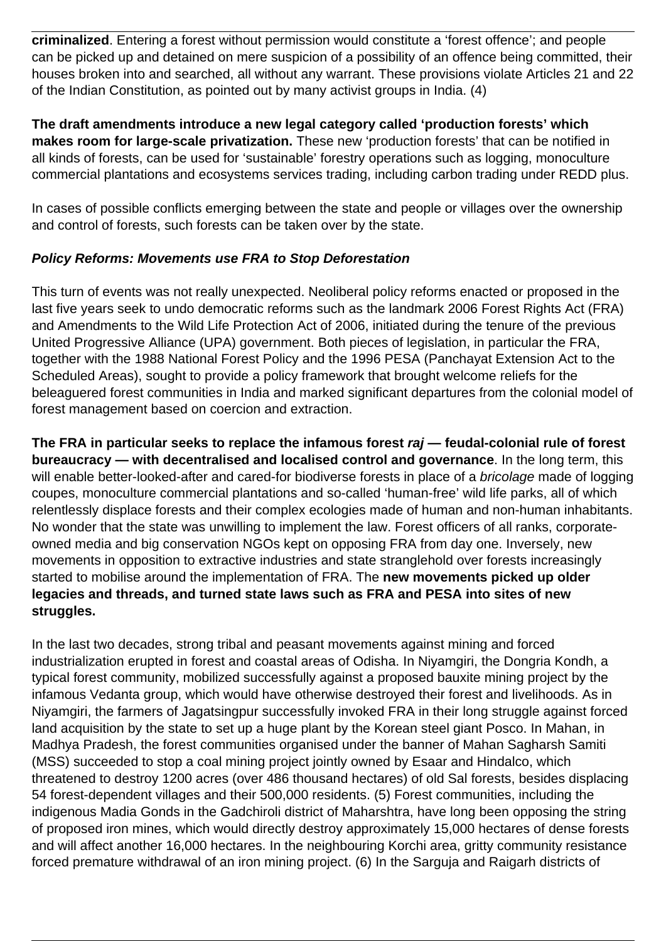**criminalized**. Entering a forest without permission would constitute a 'forest offence'; and people can be picked up and detained on mere suspicion of a possibility of an offence being committed, their houses broken into and searched, all without any warrant. These provisions violate Articles 21 and 22 of the Indian Constitution, as pointed out by many activist groups in India. (4)

**The draft amendments introduce a new legal category called 'production forests' which makes room for large-scale privatization.** These new 'production forests' that can be notified in all kinds of forests, can be used for 'sustainable' forestry operations such as logging, monoculture commercial plantations and ecosystems services trading, including carbon trading under REDD plus.

In cases of possible conflicts emerging between the state and people or villages over the ownership and control of forests, such forests can be taken over by the state.

## **Policy Reforms: Movements use FRA to Stop Deforestation**

This turn of events was not really unexpected. Neoliberal policy reforms enacted or proposed in the last five years seek to undo democratic reforms such as the landmark 2006 Forest Rights Act (FRA) and Amendments to the Wild Life Protection Act of 2006, initiated during the tenure of the previous United Progressive Alliance (UPA) government. Both pieces of legislation, in particular the FRA, together with the 1988 National Forest Policy and the 1996 PESA (Panchayat Extension Act to the Scheduled Areas), sought to provide a policy framework that brought welcome reliefs for the beleaguered forest communities in India and marked significant departures from the colonial model of forest management based on coercion and extraction.

**The FRA in particular seeks to replace the infamous forest raj — feudal-colonial rule of forest bureaucracy — with decentralised and localised control and governance**. In the long term, this will enable better-looked-after and cared-for biodiverse forests in place of a bricolage made of logging coupes, monoculture commercial plantations and so-called 'human-free' wild life parks, all of which relentlessly displace forests and their complex ecologies made of human and non-human inhabitants. No wonder that the state was unwilling to implement the law. Forest officers of all ranks, corporateowned media and big conservation NGOs kept on opposing FRA from day one. Inversely, new movements in opposition to extractive industries and state stranglehold over forests increasingly started to mobilise around the implementation of FRA. The **new movements picked up older legacies and threads, and turned state laws such as FRA and PESA into sites of new struggles.** 

In the last two decades, strong tribal and peasant movements against mining and forced industrialization erupted in forest and coastal areas of Odisha. In Niyamgiri, the Dongria Kondh, a typical forest community, mobilized successfully against a proposed bauxite mining project by the infamous Vedanta group, which would have otherwise destroyed their forest and livelihoods. As in Niyamgiri, the farmers of Jagatsingpur successfully invoked FRA in their long struggle against forced land acquisition by the state to set up a huge plant by the Korean steel giant Posco. In Mahan, in Madhya Pradesh, the forest communities organised under the banner of Mahan Sagharsh Samiti (MSS) succeeded to stop a coal mining project jointly owned by Esaar and Hindalco, which threatened to destroy 1200 acres (over 486 thousand hectares) of old Sal forests, besides displacing 54 forest-dependent villages and their 500,000 residents. (5) Forest communities, including the indigenous Madia Gonds in the Gadchiroli district of Maharshtra, have long been opposing the string of proposed iron mines, which would directly destroy approximately 15,000 hectares of dense forests and will affect another 16,000 hectares. In the neighbouring Korchi area, gritty community resistance forced premature withdrawal of an iron mining project. (6) In the Sarguja and Raigarh districts of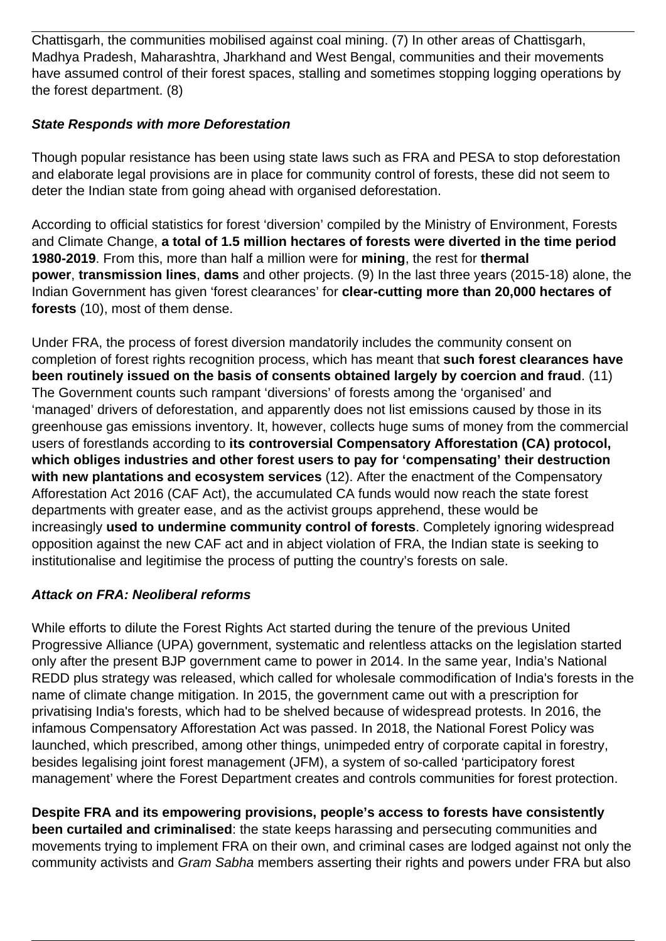Chattisgarh, the communities mobilised against coal mining. (7) In other areas of Chattisgarh, Madhya Pradesh, Maharashtra, Jharkhand and West Bengal, communities and their movements have assumed control of their forest spaces, stalling and sometimes stopping logging operations by the forest department. (8)

## **State Responds with more Deforestation**

Though popular resistance has been using state laws such as FRA and PESA to stop deforestation and elaborate legal provisions are in place for community control of forests, these did not seem to deter the Indian state from going ahead with organised deforestation.

According to official statistics for forest 'diversion' compiled by the Ministry of Environment, Forests and Climate Change, **a total of 1.5 million hectares of forests were diverted in the time period 1980-2019**. From this, more than half a million were for **mining**, the rest for **thermal power**, **transmission lines**, **dams** and other projects. (9) In the last three years (2015-18) alone, the Indian Government has given 'forest clearances' for **clear-cutting more than 20,000 hectares of forests** (10), most of them dense.

Under FRA, the process of forest diversion mandatorily includes the community consent on completion of forest rights recognition process, which has meant that **such forest clearances have been routinely issued on the basis of consents obtained largely by coercion and fraud**. (11) The Government counts such rampant 'diversions' of forests among the 'organised' and 'managed' drivers of deforestation, and apparently does not list emissions caused by those in its greenhouse gas emissions inventory. It, however, collects huge sums of money from the commercial users of forestlands according to **its controversial Compensatory Afforestation (CA) protocol, which obliges industries and other forest users to pay for 'compensating' their destruction with new plantations and ecosystem services** (12). After the enactment of the Compensatory Afforestation Act 2016 (CAF Act), the accumulated CA funds would now reach the state forest departments with greater ease, and as the activist groups apprehend, these would be increasingly **used to undermine community control of forests**. Completely ignoring widespread opposition against the new CAF act and in abject violation of FRA, the Indian state is seeking to institutionalise and legitimise the process of putting the country's forests on sale.

## **Attack on FRA: Neoliberal reforms**

While efforts to dilute the Forest Rights Act started during the tenure of the previous United Progressive Alliance (UPA) government, systematic and relentless attacks on the legislation started only after the present BJP government came to power in 2014. In the same year, India's National REDD plus strategy was released, which called for wholesale commodification of India's forests in the name of climate change mitigation. In 2015, the government came out with a prescription for privatising India's forests, which had to be shelved because of widespread protests. In 2016, the infamous Compensatory Afforestation Act was passed. In 2018, the National Forest Policy was launched, which prescribed, among other things, unimpeded entry of corporate capital in forestry, besides legalising joint forest management (JFM), a system of so-called 'participatory forest management' where the Forest Department creates and controls communities for forest protection.

**Despite FRA and its empowering provisions, people's access to forests have consistently been curtailed and criminalised**: the state keeps harassing and persecuting communities and movements trying to implement FRA on their own, and criminal cases are lodged against not only the community activists and Gram Sabha members asserting their rights and powers under FRA but also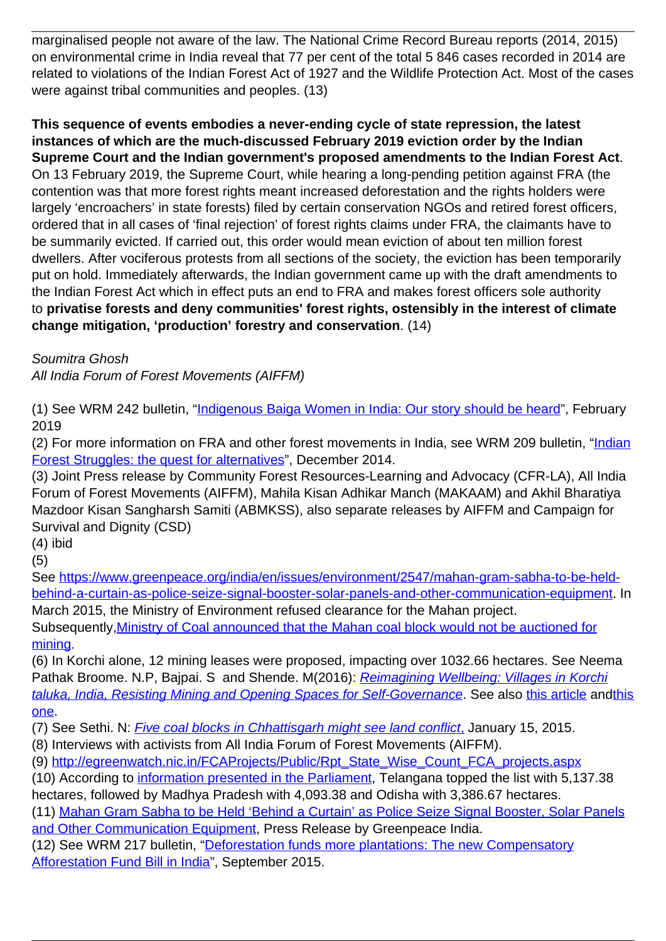marginalised people not aware of the law. The National Crime Record Bureau reports (2014, 2015) on environmental crime in India reveal that 77 per cent of the total 5 846 cases recorded in 2014 are related to violations of the Indian Forest Act of 1927 and the Wildlife Protection Act. Most of the cases were against tribal communities and peoples. (13)

**This sequence of events embodies a never-ending cycle of state repression, the latest instances of which are the much-discussed February 2019 eviction order by the Indian Supreme Court and the Indian government's proposed amendments to the Indian Forest Act**. On 13 February 2019, the Supreme Court, while hearing a long-pending petition against FRA (the contention was that more forest rights meant increased deforestation and the rights holders were largely 'encroachers' in state forests) filed by certain conservation NGOs and retired forest officers, ordered that in all cases of 'final rejection' of forest rights claims under FRA, the claimants have to be summarily evicted. If carried out, this order would mean eviction of about ten million forest dwellers. After vociferous protests from all sections of the society, the eviction has been temporarily put on hold. Immediately afterwards, the Indian government came up with the draft amendments to the Indian Forest Act which in effect puts an end to FRA and makes forest officers sole authority to **privatise forests and deny communities' forest rights, ostensibly in the interest of climate change mitigation, 'production' forestry and conservation**. (14)

Soumitra Ghosh

All India Forum of Forest Movements (AIFFM)

(1) See WRM 242 bulletin, ["Indigenous Baiga Women in India: Our story should be heard](https://wrm.org.uy/articles-from-the-wrm-bulletin/section1/indigenous-baiga-women-in-india-our-story-should-be-heard/)", February 2019

(2) For more information on FRA and other forest movements in India, see WRM 209 bulletin, ["Indian](https://wrm.org.uy/articles-from-the-wrm-bulletin/section1/indian-forest-struggles-the-quest-for-alternatives/) [Forest Struggles: the quest for alternatives](https://wrm.org.uy/articles-from-the-wrm-bulletin/section1/indian-forest-struggles-the-quest-for-alternatives/)", December 2014.

(3) Joint Press release by Community Forest Resources-Learning and Advocacy (CFR-LA), All India Forum of Forest Movements (AIFFM), Mahila Kisan Adhikar Manch (MAKAAM) and Akhil Bharatiya Mazdoor Kisan Sangharsh Samiti (ABMKSS), also separate releases by AIFFM and Campaign for Survival and Dignity (CSD)

(4) ibid

(5)

See [https://www.greenpeace.org/india/en/issues/environment/2547/mahan-gram-sabha-to-be-held](https://www.greenpeace.org/india/en/issues/environment/2547/mahan-gram-sabha-to-be-held-behind-a-curtain-as-police-seize-signal-booster-solar-panels-and-other-communication-equipment)[behind-a-curtain-as-police-seize-signal-booster-solar-panels-and-other-communication-equipment.](https://www.greenpeace.org/india/en/issues/environment/2547/mahan-gram-sabha-to-be-held-behind-a-curtain-as-police-seize-signal-booster-solar-panels-and-other-communication-equipment) In March 2015, the Ministry of Environment refused clearance for the Mahan project.

Subsequently, Ministry of Coal announced that the Mahan coal block would not be auctioned for [mining.](https://www.bbc.com/news/world-asia-india-32443739)

(6) In Korchi alone, 12 mining leases were proposed, impacting over 1032.66 hectares. See Neema Pathak Broome. N.P, Bajpai. S and Shende. M(2016): [Reimagining Wellbeing: Villages in Korchi](https://wrm.org.uy/articles-from-the-wrm-bulletin/section1/reimagining-wellbeing-villages-in-korchi-taluka-india-resisting-mining-and-opening-spaces-for-self-governance) [taluka, India, Resisting Mining and Opening Spaces for Self-Governance](https://wrm.org.uy/articles-from-the-wrm-bulletin/section1/reimagining-wellbeing-villages-in-korchi-taluka-india-resisting-mining-and-opening-spaces-for-self-governance). See also [this article](https://www.downtoearth.org.in/news/mining/experts-panel-red-flags-power-mining-projects-in-western-ghats-37201) and[this](http://cat.org.in/portfolio/tribals-oppose-cluster-of-4-iron-ore-mines-in-zendepar/) [one](http://cat.org.in/portfolio/tribals-oppose-cluster-of-4-iron-ore-mines-in-zendepar/).

(7) See Sethi. N: *[Five coal blocks in Chhattisgarh might see land conflict](https://www.business-standard.com/article/economy-policy/five-coal-blocks-in-chhattisgarh-might-see-land-conflict-115011500019_1.html)*[,](https://www.business-standard.com/article/economy-policy/five-coal-blocks-in-chhattisgarh-might-see-land-conflict-115011500019_1.html) January 15, 2015.

(8) Interviews with activists from All India Forum of Forest Movements (AIFFM).

(9) [http://egreenwatch.nic.in/FCAProjects/Public/Rpt\\_State\\_Wise\\_Count\\_FCA\\_projects.aspx](http://egreenwatch.nic.in/FCAProjects/Public/Rpt_State_Wise_Count_FCA_projects.aspx)

(10) According to [information presented in the Parliament](https://scroll.in/article/908209/in-three-years-centre-has-diverted-forest-land-the-size-of-kolkata-for-development-projects), Telangana topped the list with 5,137.38 hectares, followed by Madhya Pradesh with 4,093.38 and Odisha with 3,386.67 hectares.

(11) [Mahan Gram Sabha to be Held 'Behind a Curtain' as Police Seize Signal Booster, Solar Panels](https://www.greenpeace.org/india/en/issues/environment/2547/mahan-gram-sabha-to-be-held-behind-a-curtain-as-police-seize-signal-booster-solar-panels-and-other-communication-equipment/) [and Other Communication Equipment](https://www.greenpeace.org/india/en/issues/environment/2547/mahan-gram-sabha-to-be-held-behind-a-curtain-as-police-seize-signal-booster-solar-panels-and-other-communication-equipment/), Press Release by Greenpeace India.

(12) See WRM 217 bulletin, ["Deforestation funds more plantations: The new Compensatory](https://wrm.org.uy/articles-from-the-wrm-bulletin/section1/deforestation-funds-more-plantations-the-new-compensatory-afforestation-fund-bill-in-india/) [Afforestation Fund Bill in India"](https://wrm.org.uy/articles-from-the-wrm-bulletin/section1/deforestation-funds-more-plantations-the-new-compensatory-afforestation-fund-bill-in-india/), September 2015.